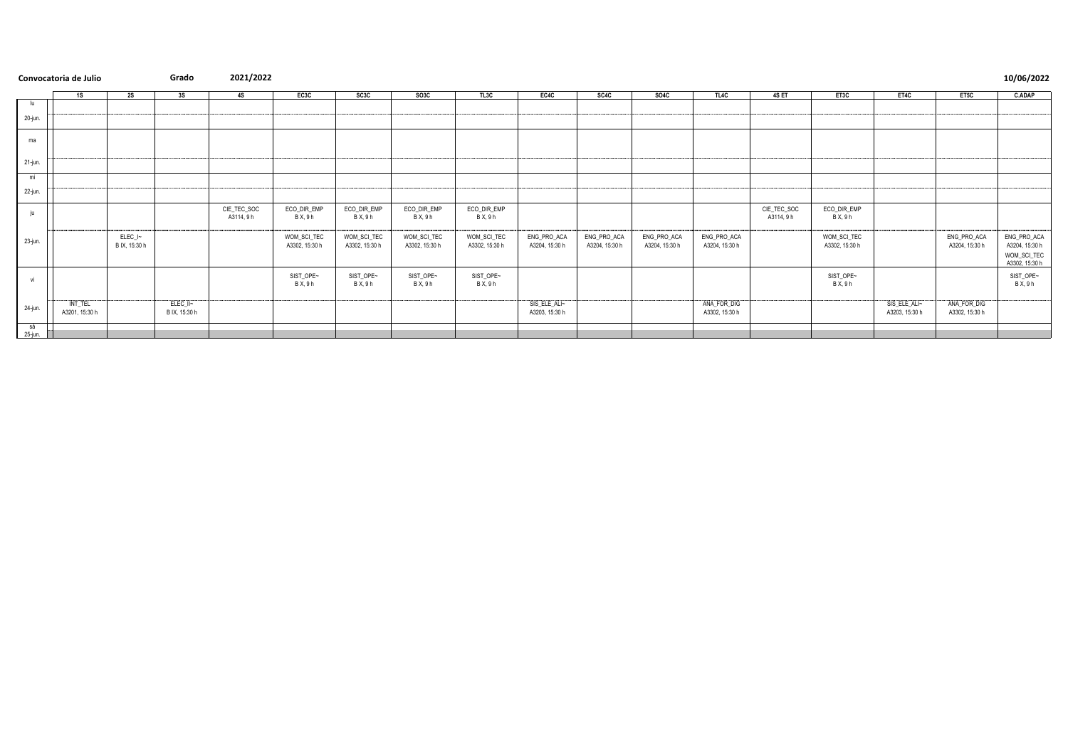# **Convocatoria de Julio Grado 2021/2022 10/06/2022**

|                          | 1S                        | 2S                               | 3S                        | <b>4S</b>                 | EC3C                          | SC3C                          | SOSC                          | TL3C                          | EC4C                           | SC4C                          | <b>SO4C</b>                   | TL4C                          | 4S ET                     | ET3C                          | ET4C                           | ET <sub>5</sub> C             | <b>C.ADAP</b>                                                  |
|--------------------------|---------------------------|----------------------------------|---------------------------|---------------------------|-------------------------------|-------------------------------|-------------------------------|-------------------------------|--------------------------------|-------------------------------|-------------------------------|-------------------------------|---------------------------|-------------------------------|--------------------------------|-------------------------------|----------------------------------------------------------------|
| lu                       |                           |                                  |                           |                           |                               |                               |                               |                               |                                |                               |                               |                               |                           |                               |                                |                               |                                                                |
| 20-jun.                  |                           |                                  |                           |                           |                               |                               |                               |                               |                                |                               |                               |                               |                           |                               |                                |                               |                                                                |
| ma                       |                           |                                  |                           |                           |                               |                               |                               |                               |                                |                               |                               |                               |                           |                               |                                |                               |                                                                |
| $21$ -jun.               |                           |                                  |                           |                           |                               |                               |                               |                               |                                |                               |                               |                               |                           |                               |                                |                               |                                                                |
| mi                       |                           |                                  |                           |                           |                               |                               |                               |                               |                                |                               |                               |                               |                           |                               |                                |                               |                                                                |
| 22-jun.                  |                           |                                  |                           |                           |                               |                               |                               |                               |                                |                               |                               |                               |                           |                               |                                |                               |                                                                |
| iu                       |                           |                                  |                           | CIE_TEC_SOC<br>A3114, 9 h | ECO_DIR_EMP<br>B X, 9 h       | ECO_DIR_EMP<br>B X, 9 h       | ECO_DIR_EMP<br>B X, 9 h       | ECO_DIR_EMP<br>B X, 9 h       |                                |                               |                               |                               | CIE_TEC_SOC<br>A3114, 9 h | ECO_DIR_EMP<br>B X, 9 h       |                                |                               |                                                                |
| 23-jun.                  |                           | $ELEC$ _ $\sim$<br>B IX, 15:30 h |                           |                           | WOM_SCI_TEC<br>A3302, 15:30 h | WOM_SCI_TEC<br>A3302, 15:30 h | WOM_SCI_TEC<br>A3302, 15:30 h | WOM_SCI_TEC<br>A3302, 15:30 h | ENG_PRO_ACA<br>A3204, 15:30 h  | ENG_PRO_ACA<br>A3204, 15:30 h | ENG_PRO_ACA<br>A3204, 15:30 h | ENG_PRO_ACA<br>A3204, 15:30 h |                           | WOM_SCI_TEC<br>A3302, 15:30 h |                                | ENG_PRO_ACA<br>A3204, 15:30 h | ENG_PRO_ACA<br>A3204, 15:30 h<br>WOM_SCI_TEC<br>A3302, 15:30 h |
| $\vec{u}$                |                           |                                  |                           |                           | SIST_OPE~<br>B X, 9 h         | SIST_OPE~<br>B X, 9 h         | SIST_OPE~<br>B X, 9 h         | SIST_OPE~<br>B X, 9 h         |                                |                               |                               |                               |                           | SIST_OPE~<br>B X, 9 h         |                                |                               | SIST_OPE~<br>B X, 9 h                                          |
| 24-jun.                  | INT_TEL<br>A3201, 15:30 h |                                  | ELEC_II~<br>B IX, 15:30 h |                           |                               |                               |                               |                               | SIS_ELE_ALI~<br>A3203, 15:30 h |                               |                               | ANA_FOR_DIG<br>A3302, 15:30 h |                           |                               | SIS_ELE_ALI~<br>A3203, 15:30 h | ANA_FOR_DIG<br>A3302, 15:30 h |                                                                |
| sá<br>25-jun. $\sqrt{ }$ |                           |                                  |                           |                           |                               |                               |                               |                               |                                |                               |                               |                               |                           |                               |                                |                               |                                                                |

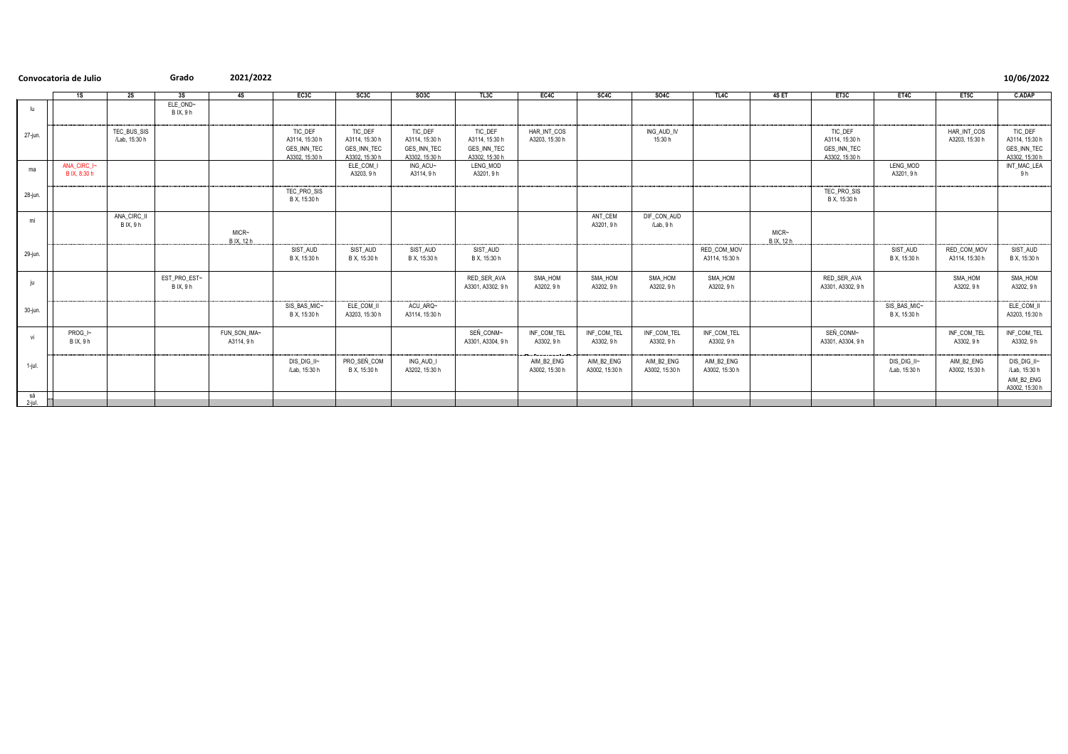## **Convocatoria de Julio Grado 2021/2022 10/06/2022**

|                     | 1S                          | 2S                            | 3S                        | <b>4S</b>                  | EC3C                                                       | SC3C                                                       | SOSC                                                       | TL3C                                                       | EC4C                          | SC4C                         | SO4C                         | TL4C                          | 4S ET                           | ET3C                                                       | ET4C                         | ET5C                          | <b>C.ADAP</b>                                                |
|---------------------|-----------------------------|-------------------------------|---------------------------|----------------------------|------------------------------------------------------------|------------------------------------------------------------|------------------------------------------------------------|------------------------------------------------------------|-------------------------------|------------------------------|------------------------------|-------------------------------|---------------------------------|------------------------------------------------------------|------------------------------|-------------------------------|--------------------------------------------------------------|
| lu                  |                             |                               | ELE_OND~<br>B IX, 9 h     |                            |                                                            |                                                            |                                                            |                                                            |                               |                              |                              |                               |                                 |                                                            |                              |                               |                                                              |
| 27-jun.             |                             | TEC_BUS_SIS<br>/Lab, 15:30 h  |                           |                            | TIC_DEF<br>A3114, 15:30 h<br>GES_INN_TEC<br>A3302, 15:30 h | TIC_DEF<br>A3114, 15:30 h<br>GES_INN_TEC<br>A3302, 15:30 h | TIC_DEF<br>A3114, 15:30 h<br>GES_INN_TEC<br>A3302, 15:30 h | TIC_DEF<br>A3114, 15:30 h<br>GES_INN_TEC<br>A3302, 15:30 h | HAR_INT_COS<br>A3203, 15:30 h |                              | ING_AUD_IV<br>15:30 h        |                               |                                 | TIC_DEF<br>A3114, 15:30 h<br>GES_INN_TEC<br>A3302, 15:30 h |                              | HAR_INT_COS<br>A3203, 15:30 h | TIC_DEF<br>A3114, 15:30 h<br>GES_INN_TEC<br>A3302, 15:30 h   |
| ma                  | ANA_CIRC_I~<br>B IX, 8:30 h |                               |                           |                            |                                                            | ELE_COM_I<br>A3203, 9 h                                    | ING_ACU~<br>A3114, 9 h                                     | LENG_MOD<br>A3201, 9 h                                     |                               |                              |                              |                               |                                 |                                                            | LENG_MOD<br>A3201, 9 h       |                               | INT_MAC_LEA<br>9 h                                           |
| 28-jun.             |                             |                               |                           |                            | TEC_PRO_SIS<br>B X, 15:30 h                                |                                                            |                                                            |                                                            |                               |                              |                              |                               |                                 | TEC_PRO_SIS<br>B X, 15:30 h                                |                              |                               |                                                              |
| mi                  |                             | ANA_CIRC_II<br><b>BIX, 9h</b> |                           | MICR~<br>B IX, 12 h        |                                                            |                                                            |                                                            |                                                            |                               | ANT_CEM<br>A3201, 9 h        | DIF_CON_AUD<br>/Lab, 9h      |                               | MICR <sub>~</sub><br>B IX, 12 h |                                                            |                              |                               |                                                              |
| 29-jun.             |                             |                               |                           |                            | SIST_AUD<br>B X, 15:30 h                                   | SIST_AUD<br>B X, 15:30 h                                   | SIST_AUD<br>B X, 15:30 h                                   | SIST_AUD<br>B X, 15:30 h                                   |                               |                              |                              | RED_COM_MOV<br>A3114, 15:30 h |                                 |                                                            | SIST_AUD<br>B X, 15:30 h     | RED_COM_MOV<br>A3114, 15:30 h | SIST_AUD<br>B X, 15:30 h                                     |
|                     |                             |                               | EST_PRO_EST~<br>B IX, 9 h |                            |                                                            |                                                            |                                                            | RED_SER_AVA<br>A3301, A3302, 9 h                           | SMA_HOM<br>A3202, 9 h         | SMA_HOM<br>A3202, 9 h        | SMA_HOM<br>A3202, 9 h        | SMA_HOM<br>A3202, 9 h         |                                 | RED_SER_AVA<br>A3301, A3302, 9 h                           |                              | SMA_HOM<br>A3202, 9 h         | SMA_HOM<br>A3202, 9 h                                        |
| 30-jun.             |                             |                               |                           |                            | SIS_BAS_MIC∼<br>B X, 15:30 h                               | ELE_COM_II<br>A3203, 15:30 h                               | ACU_ARQ~<br>A3114, 15:30 h                                 |                                                            |                               |                              |                              |                               |                                 |                                                            | SIS_BAS_MIC~<br>B X, 15:30 h |                               | ELE_COM_II<br>A3203, 15:30 h                                 |
| vi                  | PROG_l~<br>B IX, 9 h        |                               |                           | FUN_SON_IMA~<br>A3114, 9 h |                                                            |                                                            |                                                            | SEÑ_CONM~<br>A3301, A3304, 9 h                             | INF_COM_TEL<br>A3302, 9 h     | INF_COM_TEL<br>A3302, 9 h    | INF_COM_TEL<br>A3302, 9 h    | INF_COM_TEL<br>A3302, 9 h     |                                 | SEÑ_CONM∼<br>A3301, A3304, 9 h                             |                              | INF_COM_TEL<br>A3302, 9 h     | INF_COM_TEL<br>A3302, 9 h                                    |
| 1-jul.              |                             |                               |                           |                            | DIS_DIG_II~<br>/Lab, 15:30 h                               | PRO_SEÑ_COM<br>B X, 15:30 h                                | ING_AUD_I<br>A3202, 15:30 h                                |                                                            | AIM_B2_ENG<br>A3002, 15:30 h  | AIM_B2_ENG<br>A3002, 15:30 h | AIM_B2_ENG<br>A3002, 15:30 h | AIM_B2_ENG<br>A3002, 15:30 h  |                                 |                                                            | DIS_DIG_II~<br>/Lab, 15:30 h | AIM_B2_ENG<br>A3002, 15:30 h  | DIS_DIG_II~<br>/Lab, 15:30 h<br>AIM_B2_ENG<br>A3002, 15:30 h |
| sá<br><u>2-jul.</u> |                             |                               |                           |                            |                                                            |                                                            |                                                            |                                                            |                               |                              |                              |                               |                                 |                                                            |                              |                               |                                                              |

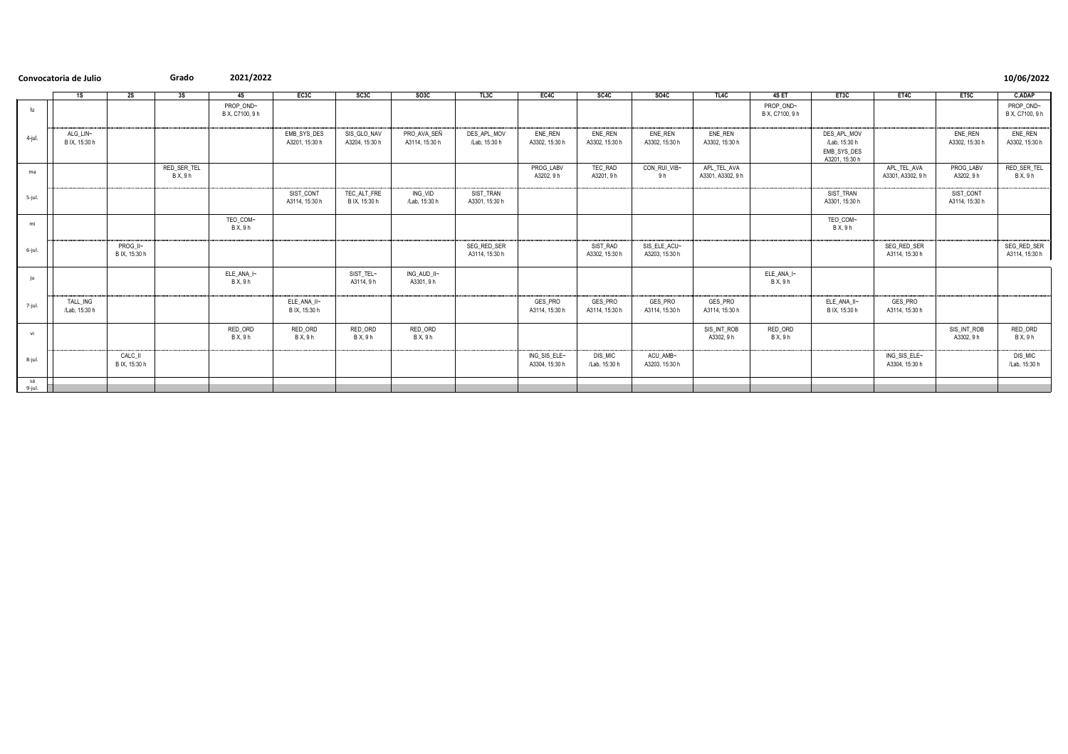## 2021/2022 Convocatoria de Julio Grado

|              | 1S                        | <b>2S</b>                 | 3S                      | <b>4S</b>                    | EC <sub>3</sub> C             | SC3C                          | SOSC                          | TL3C                          | EC4C                           | SC4C                       | SO4C                           | TL4C                             | 4S ET                        | ET3C                                                          | ET4C                             | ET <sub>5</sub> C           | C.ADAP                        |
|--------------|---------------------------|---------------------------|-------------------------|------------------------------|-------------------------------|-------------------------------|-------------------------------|-------------------------------|--------------------------------|----------------------------|--------------------------------|----------------------------------|------------------------------|---------------------------------------------------------------|----------------------------------|-----------------------------|-------------------------------|
| u            |                           |                           |                         | PROP_OND~<br>B X, C7100, 9 h |                               |                               |                               |                               |                                |                            |                                |                                  | PROP_OND~<br>B X, C7100, 9 h |                                                               |                                  |                             | PROP_OND~<br>B X, C7100, 9 h  |
| 4-jul.       | ALG_LIN~<br>B IX, 15:30 h |                           |                         |                              | EMB_SYS_DES<br>A3201, 15:30 h | SIS_GLO_NAV<br>A3204, 15:30 h | PRO_AVA_SEÑ<br>A3114, 15:30 h | DES_APL_MOV<br>/Lab, 15:30 h  | ENE_REN<br>A3302, 15:30 h      | ENE_REN<br>A3302, 15:30 h  | ENE_REN<br>A3302, 15:30 h      | ENE_REN<br>A3302, 15:30 h        |                              | DES_APL_MOV<br>/Lab, 15:30 h<br>EMB_SYS_DES<br>A3201, 15:30 h |                                  | ENE_REN<br>A3302, 15:30 h   | ENE_REN<br>A3302, 15:30 h     |
| ma           |                           |                           | RED_SER_TEL<br>B X, 9 h |                              |                               |                               |                               |                               | PROG_LABV<br>A3202, 9 h        | TEC_RAD<br>A3201, 9 h      | CON_RUI_VIB~<br>9 h            | APL_TEL_AVA<br>A3301, A3302, 9 h |                              |                                                               | APL_TEL_AVA<br>A3301, A3302, 9 h | PROG_LABV<br>A3202, 9 h     | RED_SER_TEL<br>B X, 9 h       |
| 5-jul.       |                           |                           |                         |                              | SIST_CONT<br>A3114, 15:30 h   | TEC_ALT_FRE<br>B IX, 15:30 h  | ING_VID<br>/Lab, 15:30 h      | SIST_TRAN<br>A3301, 15:30 h   |                                |                            |                                |                                  |                              | SIST_TRAN<br>A3301, 15:30 h                                   |                                  | SIST_CONT<br>A3114, 15:30 h |                               |
| mi           |                           |                           |                         | TEO_COM~<br>B X, 9 h         |                               |                               |                               |                               |                                |                            |                                |                                  |                              | TEO_COM~<br>B X, 9 h                                          |                                  |                             |                               |
| 6-jul.       |                           | PROG_II~<br>B IX, 15:30 h |                         |                              |                               |                               |                               | SEG_RED_SER<br>A3114, 15:30 h |                                | SIST_RAD<br>A3302, 15:30 h | SIS_ELE_ACU~<br>A3203, 15:30 h |                                  |                              |                                                               | SEG_RED_SER<br>A3114, 15:30 h    |                             | SEG_RED_SER<br>A3114, 15:30 h |
| iu           |                           |                           |                         | ELE_ANA_l~<br>B X, 9 h       |                               | SIST_TEL~<br>A3114, 9 h       | ING_AUD_II~<br>A3301, 9 h     |                               |                                |                            |                                |                                  | ELE_ANA_l~<br>B X, 9 h       |                                                               |                                  |                             |                               |
| 7-jul.       | TALL_ING<br>/Lab, 15:30 h |                           |                         |                              | ELE_ANA_II~<br>B IX, 15:30 h  |                               |                               |                               | GES_PRO<br>A3114, 15:30 h      | GES_PRO<br>A3114, 15:30 h  | GES_PRO<br>A3114, 15:30 h      | GES_PRO<br>A3114, 15:30 h        |                              | ELE_ANA_II~<br>B IX, 15:30 h                                  | GES_PRO<br>A3114, 15:30 h        |                             |                               |
| vi           |                           |                           |                         | RED_ORD<br>B X, 9 h          | RED_ORD<br>B X, 9 h           | RED_ORD<br>B X, 9 h           | RED_ORD<br>B X, 9 h           |                               |                                |                            |                                | SIS_INT_ROB<br>A3302, 9 h        | RED_ORD<br>B X, 9 h          |                                                               |                                  | SIS_INT_ROB<br>A3302, 9 h   | RED_ORD<br>B X, 9 h           |
| 8-jul.       |                           | CALC_II<br>B IX, 15:30 h  |                         |                              |                               |                               |                               |                               | ING_SIS_ELE~<br>A3304, 15:30 h | DIS_MIC<br>/Lab, 15:30 h   | ACU_AMB~<br>A3203, 15:30 h     |                                  |                              |                                                               | ING_SIS_ELE~<br>A3304, 15:30 h   |                             | DIS_MIC<br>/Lab, 15:30 h      |
| sá<br>9-jul. |                           |                           |                         |                              |                               |                               |                               |                               |                                |                            |                                |                                  |                              |                                                               |                                  |                             |                               |

# 10/06/2022